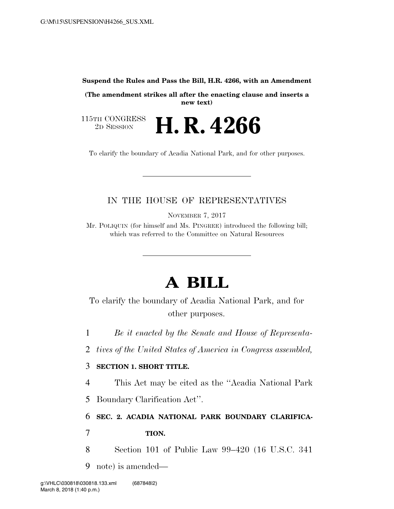#### **Suspend the Rules and Pass the Bill, H.R. 4266, with an Amendment**

**(The amendment strikes all after the enacting clause and inserts a new text)** 

115TH CONGRESS<br>2D SESSION 2D SESSION **H. R. 4266** 

To clarify the boundary of Acadia National Park, and for other purposes.

## IN THE HOUSE OF REPRESENTATIVES

NOVEMBER 7, 2017

Mr. POLIQUIN (for himself and Ms. PINGREE) introduced the following bill; which was referred to the Committee on Natural Resources

# **A BILL**

To clarify the boundary of Acadia National Park, and for other purposes.

1 *Be it enacted by the Senate and House of Representa-*

2 *tives of the United States of America in Congress assembled,* 

#### 3 **SECTION 1. SHORT TITLE.**

4 This Act may be cited as the ''Acadia National Park

5 Boundary Clarification Act''.

6 **SEC. 2. ACADIA NATIONAL PARK BOUNDARY CLARIFICA-**

7 **TION.** 

8 Section 101 of Public Law 99–420 (16 U.S.C. 341

9 note) is amended—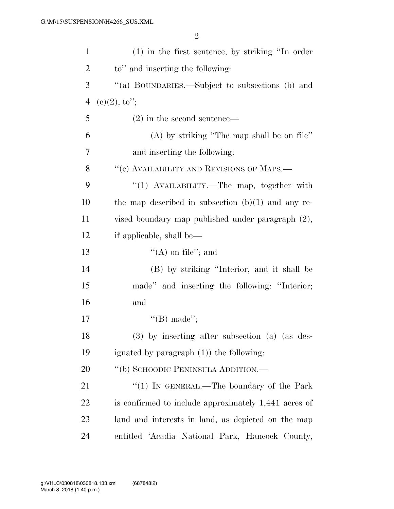| $\mathbf{1}$   | $(1)$ in the first sentence, by striking "In order   |
|----------------|------------------------------------------------------|
| $\overline{2}$ | to" and inserting the following:                     |
| 3              | "(a) BOUNDARIES.—Subject to subsections (b) and      |
| $\overline{4}$ | $(c)(2), \mathrm{to''};$                             |
| 5              | $(2)$ in the second sentence—                        |
| 6              | $(A)$ by striking "The map shall be on file"         |
| 7              | and inserting the following:                         |
| 8              | "(c) AVAILABILITY AND REVISIONS OF MAPS.—            |
| 9              | "(1) AVAILABILITY.—The map, together with            |
| 10             | the map described in subsection $(b)(1)$ and any re- |
| 11             | vised boundary map published under paragraph (2),    |
| 12             | if applicable, shall be—                             |
| 13             | $\lq\lq$ on file"; and                               |
| 14             | (B) by striking "Interior, and it shall be           |
| 15             | made" and inserting the following: "Interior;        |
| 16             | and                                                  |
| 17             | "(B) made";                                          |
| 18             | (3) by inserting after subsection (a) (as des-       |
| 19             | ignated by paragraph $(1)$ the following:            |
| 20             | "(b) SCHOODIC PENINSULA ADDITION.—                   |
| 21             | "(1) IN GENERAL.—The boundary of the Park            |
| 22             | is confirmed to include approximately 1,441 acres of |
| 23             | land and interests in land, as depicted on the map   |
| 24             | entitled 'Acadia National Park, Hancock County,      |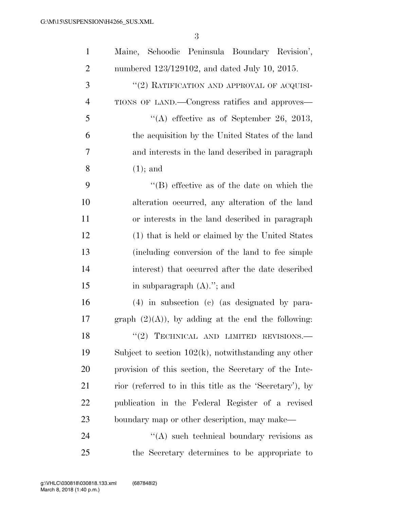| $\mathbf{1}$   | Maine, Schoodic Peninsula Boundary Revision',           |
|----------------|---------------------------------------------------------|
| $\overline{2}$ | numbered 123/129102, and dated July 10, 2015.           |
| 3              | "(2) RATIFICATION AND APPROVAL OF ACQUISI-              |
| $\overline{4}$ | TIONS OF LAND.—Congress ratifies and approves—          |
| 5              | "(A) effective as of September 26, 2013,                |
| 6              | the acquisition by the United States of the land        |
| 7              | and interests in the land described in paragraph        |
| 8              | $(1)$ ; and                                             |
| 9              | $\lq\lq$ effective as of the date on which the          |
| 10             | alteration occurred, any alteration of the land         |
| 11             | or interests in the land described in paragraph         |
| 12             | (1) that is held or claimed by the United States        |
| 13             | (including conversion of the land to fee simple         |
| 14             | interest) that occurred after the date described        |
| 15             | in subparagraph $(A)$ ."; and                           |
| 16             | $(4)$ in subsection (c) (as designated by para-         |
| 17             | graph $(2)(A)$ , by adding at the end the following:    |
| 18             | $``(2)$ TECHNICAL AND LIMITED REVISIONS.—               |
| 19             | Subject to section $102(k)$ , notwithstanding any other |
| 20             | provision of this section, the Secretary of the Inte-   |
| 21             | rior (referred to in this title as the 'Secretary'), by |
| 22             | publication in the Federal Register of a revised        |
| 23             | boundary map or other description, may make—            |
| 24             | "(A) such technical boundary revisions as               |
| 25             | the Secretary determines to be appropriate to           |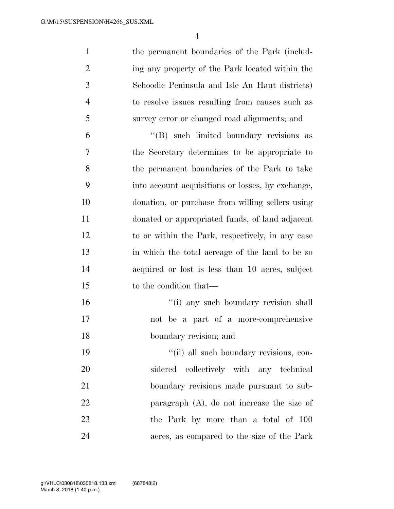| 1        | the permanent boundaries of the Park (includ-               |
|----------|-------------------------------------------------------------|
| 2        | ing any property of the Park located within the             |
| 3        | Schoodic Peninsula and Isle Au Haut districts)              |
| 4        | to resolve issues resulting from causes such as             |
| 5        | survey error or changed road alignments; and                |
| <u>г</u> | $\frac{H(P)}{P}$ and $\lim_{h \to 0}$ boundary povisions as |

 ''(B) such limited boundary revisions as the Secretary determines to be appropriate to the permanent boundaries of the Park to take into account acquisitions or losses, by exchange, donation, or purchase from willing sellers using donated or appropriated funds, of land adjacent to or within the Park, respectively, in any case in which the total acreage of the land to be so acquired or lost is less than 10 acres, subject to the condition that—

16  $\frac{1}{10}$  any such boundary revision shall not be a part of a more-comprehensive boundary revision; and

 $"$ (ii) all such boundary revisions, con- sidered collectively with any technical boundary revisions made pursuant to sub- paragraph (A), do not increase the size of the Park by more than a total of 100 acres, as compared to the size of the Park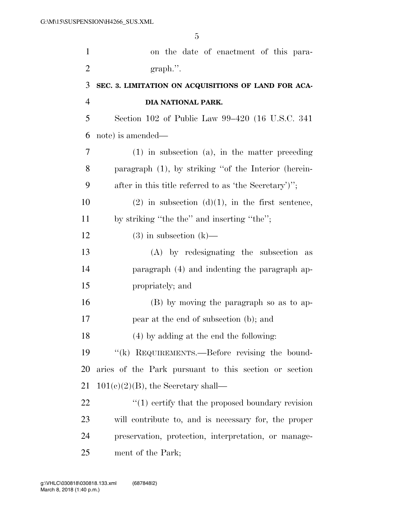| $\mathbf{1}$   | on the date of enactment of this para-                  |
|----------------|---------------------------------------------------------|
| $\overline{2}$ | $graph$ .".                                             |
| 3              | SEC. 3. LIMITATION ON ACQUISITIONS OF LAND FOR ACA-     |
| $\overline{4}$ | DIA NATIONAL PARK.                                      |
| 5              | Section 102 of Public Law 99–420 (16 U.S.C. 341)        |
| 6              | note) is amended—                                       |
| 7              | $(1)$ in subsection $(a)$ , in the matter preceding     |
| 8              | paragraph $(1)$ , by striking "of the Interior (herein- |
| 9              | after in this title referred to as 'the Secretary')';   |
| 10             | $(2)$ in subsection $(d)(1)$ , in the first sentence,   |
| 11             | by striking "the the" and inserting "the";              |
| 12             | $(3)$ in subsection $(k)$ —                             |
| 13             | (A) by redesignating the subsection as                  |
| 14             | paragraph (4) and indenting the paragraph ap-           |
| 15             | propriately; and                                        |
| 16             | (B) by moving the paragraph so as to ap-                |
| 17             | pear at the end of subsection (b); and                  |
| 18             | $(4)$ by adding at the end the following:               |
| 19             | "(k) REQUIREMENTS.—Before revising the bound-           |
| 20             | aries of the Park pursuant to this section or section   |
| 21             | $101(c)(2)(B)$ , the Secretary shall—                   |
| 22             | $\lq(1)$ certify that the proposed boundary revision    |
| 23             | will contribute to, and is necessary for, the proper    |
| 24             | preservation, protection, interpretation, or manage-    |
| 25             | ment of the Park;                                       |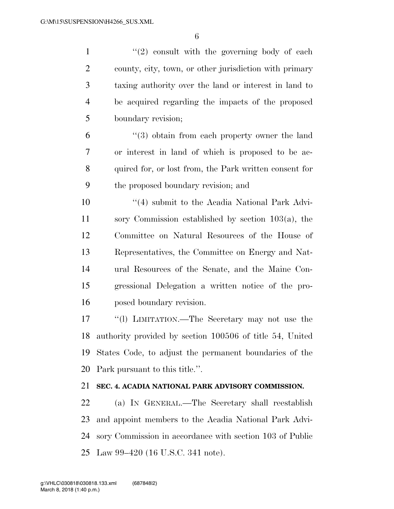$\frac{1}{2}$  ''(2) consult with the governing body of each county, city, town, or other jurisdiction with primary taxing authority over the land or interest in land to be acquired regarding the impacts of the proposed boundary revision;

 ''(3) obtain from each property owner the land or interest in land of which is proposed to be ac- quired for, or lost from, the Park written consent for the proposed boundary revision; and

 ''(4) submit to the Acadia National Park Advi- sory Commission established by section 103(a), the Committee on Natural Resources of the House of Representatives, the Committee on Energy and Nat- ural Resources of the Senate, and the Maine Con- gressional Delegation a written notice of the pro-posed boundary revision.

 ''(l) LIMITATION.—The Secretary may not use the authority provided by section 100506 of title 54, United States Code, to adjust the permanent boundaries of the Park pursuant to this title.''.

### **SEC. 4. ACADIA NATIONAL PARK ADVISORY COMMISSION.**

 (a) IN GENERAL.—The Secretary shall reestablish and appoint members to the Acadia National Park Advi- sory Commission in accordance with section 103 of Public Law 99–420 (16 U.S.C. 341 note).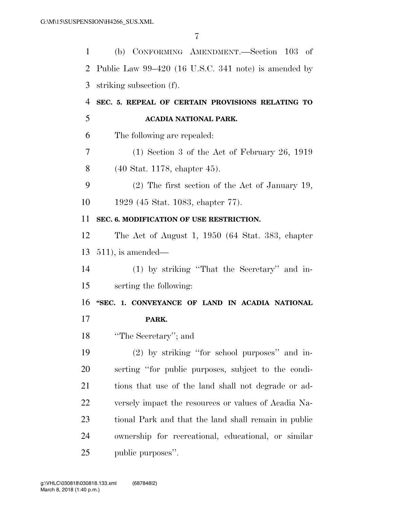| $\mathbf{1}$   | (b) CONFORMING AMENDMENT.—Section 103 of             |
|----------------|------------------------------------------------------|
| 2              | Public Law 99–420 (16 U.S.C. 341 note) is amended by |
| 3              | striking subsection (f).                             |
| $\overline{4}$ | SEC. 5. REPEAL OF CERTAIN PROVISIONS RELATING TO     |
| 5              | ACADIA NATIONAL PARK.                                |
| 6              | The following are repealed:                          |
| 7              | $(1)$ Section 3 of the Act of February 26, 1919      |
| 8              | (40 Stat. 1178, chapter 45).                         |
| 9              | $(2)$ The first section of the Act of January 19,    |
| 10             | 1929 (45 Stat. 1083, chapter 77).                    |
| 11             | SEC. 6. MODIFICATION OF USE RESTRICTION.             |
| 12             | The Act of August 1, 1950 (64 Stat. 383, chapter     |
| 13             | $511$ , is amended—                                  |
| 14             | (1) by striking "That the Secretary" and in-         |
| 15             | serting the following:                               |
| 16             | "SEC. 1. CONVEYANCE OF LAND IN ACADIA NATIONAL       |
| 17             | PARK.                                                |
| 18             | "The Secretary"; and                                 |
| 19             | (2) by striking "for school purposes" and in-        |
| <b>20</b>      | serting "for public purposes, subject to the condi-  |
| 21             | tions that use of the land shall not degrade or ad-  |
| 22             | versely impact the resources or values of Acadia Na- |
| 23             | tional Park and that the land shall remain in public |
| 24             | ownership for recreational, educational, or similar  |
| 25             | public purposes".                                    |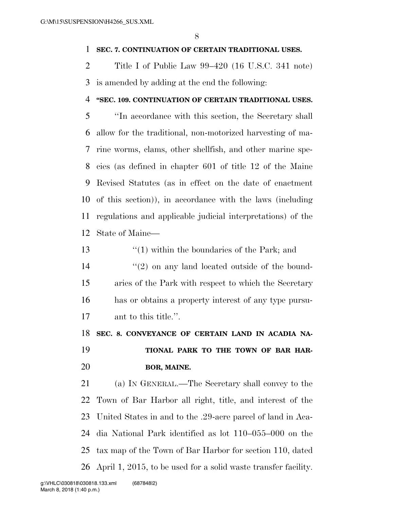#### **SEC. 7. CONTINUATION OF CERTAIN TRADITIONAL USES.**

 Title I of Public Law 99–420 (16 U.S.C. 341 note) is amended by adding at the end the following:

#### **''SEC. 109. CONTINUATION OF CERTAIN TRADITIONAL USES.**

 ''In accordance with this section, the Secretary shall allow for the traditional, non-motorized harvesting of ma- rine worms, clams, other shellfish, and other marine spe- cies (as defined in chapter 601 of title 12 of the Maine Revised Statutes (as in effect on the date of enactment of this section)), in accordance with the laws (including regulations and applicable judicial interpretations) of the State of Maine—

13 ''(1) within the boundaries of the Park; and 14 ''(2) on any land located outside of the bound- aries of the Park with respect to which the Secretary has or obtains a property interest of any type pursu-ant to this title.''.

 **SEC. 8. CONVEYANCE OF CERTAIN LAND IN ACADIA NA- TIONAL PARK TO THE TOWN OF BAR HAR-BOR, MAINE.** 

 (a) IN GENERAL.—The Secretary shall convey to the Town of Bar Harbor all right, title, and interest of the United States in and to the .29-acre parcel of land in Aca- dia National Park identified as lot 110–055–000 on the tax map of the Town of Bar Harbor for section 110, dated April 1, 2015, to be used for a solid waste transfer facility.